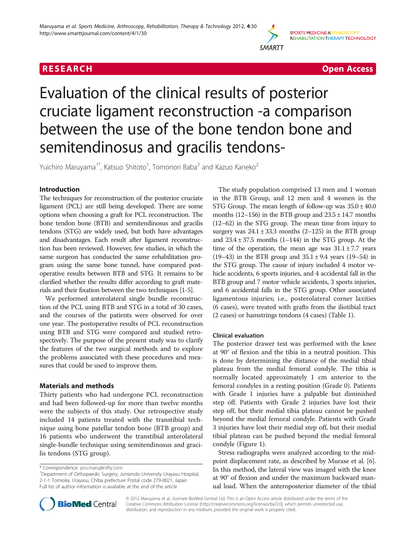



# Evaluation of the clinical results of posterior cruciate ligament reconstruction -a comparison between the use of the bone tendon bone and semitendinosus and gracilis tendons-

Yuichiro Maruyama<sup>1\*</sup>, Katsuo Shitoto<sup>1</sup>, Tomonori Baba<sup>2</sup> and Kazuo Kaneko<sup>2</sup>

# Introduction

The techniques for reconstruction of the posterior cruciate ligament (PCL) are still being developed. There are some options when choosing a graft for PCL reconstruction. The bone tendon bone (BTB) and semitendinosus and gracilis tendons (STG) are widely used, but both have advantages and disadvantages. Each result after ligament reconstruction has been reviewed. However, few studies, in which the same surgeon has conducted the same rehabilitation program using the same bone tunnel, have compared postoperative results between BTB and STG. It remains to be clarified whether the results differ according to graft materials and their fixation between the two techniques [\[1-5](#page-4-0)].

We performed anterolateral single bundle reconstruction of the PCL using BTB and STG in a total of 30 cases, and the courses of the patients were observed for over one year. The postoperative results of PCL reconstruction using BTB and STG were compared and studied retrospectively. The purpose of the present study was to clarify the features of the two surgical methods and to explore the problems associated with these procedures and measures that could be used to improve them.

# Materials and methods

Thirty patients who had undergone PCL reconstruction and had been followed-up for more than twelve months were the subjects of this study. Our retrospective study included 14 patients treated with the transtibial technique using bone patellar tendon bone (BTB group) and 16 patients who underwent the transtibial anterolateral single-bundle technique using semitendinosus and gracilis tendons (STG group).

The study population comprised 13 men and 1 woman in the BTB Group, and 12 men and 4 women in the STG Group. The mean length of follow-up was  $35.0 \pm 40.0$ months (12–156) in the BTB group and  $23.5 \pm 14.7$  months (12–62) in the STG group. The mean time from injury to surgery was  $24.1 \pm 33.3$  months (2-125) in the BTB group and  $23.4 \pm 37.5$  months (1–144) in the STG group. At the time of the operation, the mean age was  $31.1 \pm 7.7$  years (19–43) in the BTB group and  $35.1 \pm 9.4$  years (19–54) in the STG group. The cause of injury included 4 motor vehicle accidents, 6 sports injuries, and 4 accidental fall in the BTB group and 7 motor vehicle accidents, 3 sports injuries, and 6 accidental falls in the STG group. Other associated ligamentous injuries; i.e., posterolateral corner laxities (6 cases), were treated with grafts from the iliotibial tract (2 cases) or hamstrings tendons (4 cases) (Table [1](#page-1-0)).

# Clinical evaluation

The posterior drawer test was performed with the knee at 90° of flexion and the tibia in a neutral position. This is done by determining the distance of the medial tibial plateau from the medial femoral condyle. The tibia is normally located approximately 1 cm anterior to the femoral condyles in a resting position (Grade 0). Patients with Grade 1 injuries have a palpable but diminished step off. Patients with Grade 2 injuries have lost their step off, but their medial tibia plateau cannot be pushed beyond the medial femoral condyle. Patients with Grade 3 injuries have lost their medial step off, but their medial tibial plateau can be pushed beyond the medial femoral condyle (Figure [1\)](#page-1-0).

Stress radiographs were analyzed according to the midpoint displacement rate, as described by Murase et al. [[6](#page-4-0)]. In this method, the lateral view was imaged with the knee at 90° of flexion and under the maximum backward manual load. When the anteroposterior diameter of the tibial



© 2012 Maruyama et al.; licensee BioMed Central Ltd. This is an Open Access article distributed under the terms of the Creative Commons Attribution License (<http://creativecommons.org/licenses/by/2.0>), which permits unrestricted use, distribution, and reproduction in any medium, provided the original work is properly cited.

<sup>\*</sup> Correspondence: [you.maru@nifty.com](mailto:you.maru@nifty.com) <sup>1</sup>

<sup>&</sup>lt;sup>1</sup>Department of Orthopaedic Surgery, Juntendo University Urayasu Hospital, 2-1-1 Tomioka, Urayasu, Chiba prefecture Postal code 279-0021, Japan Full list of author information is available at the end of the article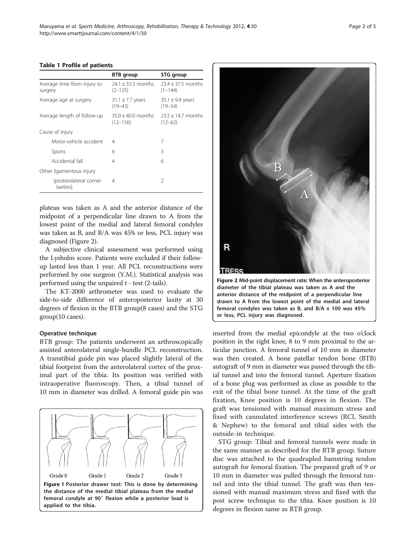#### <span id="page-1-0"></span>Table 1 Profile of patients

|                                        | <b>BTB</b> group                      | STG group                           |
|----------------------------------------|---------------------------------------|-------------------------------------|
| Average time from injury to<br>surgery | $24.1 \pm 33.3$ months<br>$(2 - 125)$ | $23.4 + 37.5$ months<br>$(1 - 144)$ |
| Average age at surgery                 | $31.1 \pm 7.7$ years<br>$(19 - 43)$   | 35.1 $\pm$ 9.4 years<br>$(19 - 54)$ |
| Average length of follow-up            | $35.0 + 40.0$ months<br>$(12 - 156)$  | $23.5 + 14.7$ months<br>$(12 - 62)$ |
| Cause of injury                        |                                       |                                     |
| Motor-vehicle accident                 | 4                                     | 7                                   |
| Sports                                 | 6                                     | 3                                   |
| Accidental fall                        | 4                                     | 6                                   |
| Other ligamentous injury               |                                       |                                     |
| (posterolateral corner<br>laxities)    | 4                                     | $\mathcal{P}$                       |

plateau was taken as A and the anterior distance of the midpoint of a perpendicular line drawn to A from the lowest point of the medial and lateral femoral condyles was taken as B, and B/A was 45% or less, PCL injury was diagnosed (Figure 2).

A subjective clinical assessment was performed using the Lysholm score. Patients were excluded if their followup lasted less than 1 year. All PCL reconstructions were performed by one surgeon (Y.M.). Statistical analysis was performed using the unpaired t - test (2-tails).

The KT-2000 arthrometer was used to evaluate the side-to-side difference of anteroposterior laxity at 30 degrees of flexion in the BTB group(8 cases) and the STG group(10 cases).

## Operative technique

BTB group: The patients underwent an arthroscopically assisted anterolateral single-bundle PCL reconstruction. A transtibial guide pin was placed slightly lateral of the tibial footprint from the anterolateral cortex of the proximal part of the tibia. Its position was verified with intraoperative fluoroscopy. Then, a tibial tunnel of 10 mm in diameter was drilled. A femoral guide pin was





inserted from the medial epicondyle at the two o'clock position in the right knee, 8 to 9 mm proximal to the articular junction. A femoral tunnel of 10 mm in diameter was then created. A bone patellar tendon bone (BTB) autograft of 9 mm in diameter was passed through the tibial tunnel and into the femoral tunnel. Aperture fixation of a bone plug was performed as close as possible to the exit of the tibial bone tunnel. At the time of the graft fixation, Knee position is 10 degrees in flexion. The graft was tensioned with manual maximum stress and fixed with cannulated interference screws (RCI, Smith & Nephew) to the femoral and tibial sides with the outside-in technique.

STG group: Tibial and femoral tunnels were made in the same manner as described for the BTB group. Suture disc was attached to the quadrupled hamstring tendon autograft for femoral fixation. The prepared graft of 9 or 10 mm in diameter was pulled through the femoral tunnel and into the tibial tunnel. The graft was then tensioned with manual maximum stress and fixed with the post screw technique to the tibia. Knee position is 10 degrees in flexion same as BTB group.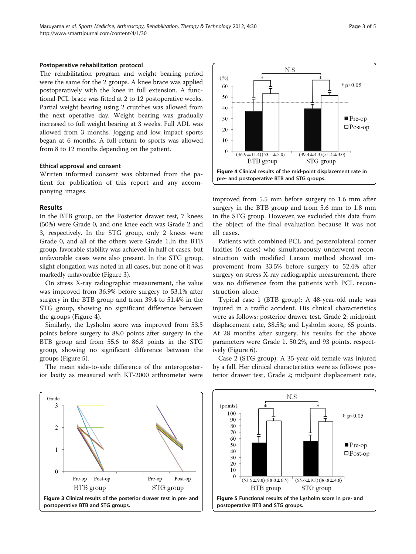#### Postoperative rehabilitation protocol

The rehabilitation program and weight bearing period were the same for the 2 groups. A knee brace was applied postoperatively with the knee in full extension. A functional PCL brace was fitted at 2 to 12 postoperative weeks. Partial weight bearing using 2 crutches was allowed from the next operative day. Weight bearing was gradually increased to full weight bearing at 3 weeks. Full ADL was allowed from 3 months. Jogging and low impact sports began at 6 months. A full return to sports was allowed from 8 to 12 months depending on the patient.

### Ethical approval and consent

Written informed consent was obtained from the patient for publication of this report and any accompanying images.

# Results

In the BTB group, on the Posterior drawer test, 7 knees (50%) were Grade 0, and one knee each was Grade 2 and 3, respectively. In the STG group, only 2 knees were Grade 0, and all of the others were Grade 1.In the BTB group, favorable stability was achieved in half of cases, but unfavorable cases were also present. In the STG group, slight elongation was noted in all cases, but none of it was markedly unfavorable (Figure 3).

On stress X-ray radiographic measurement, the value was improved from 36.9% before surgery to 53.1% after surgery in the BTB group and from 39.4 to 51.4% in the STG group, showing no significant difference between the groups (Figure 4).

Similarly, the Lysholm score was improved from 53.5 points before surgery to 88.0 points after surgery in the BTB group and from 55.6 to 86.8 points in the STG group, showing no significant difference between the groups (Figure 5).

The mean side-to-side difference of the anteroposterior laxity as measured with KT-2000 arthrometer were



improved from 5.5 mm before surgery to 1.6 mm after surgery in the BTB group and from 5.6 mm to 1.8 mm in the STG group. However, we excluded this data from the object of the final evaluation because it was not all cases.

Patients with combined PCL and posterolateral corner laxities (6 cases) who simultaneously underwent reconstruction with modified Larson method showed improvement from 33.5% before surgery to 52.4% after surgery on stress X-ray radiographic measurement, there was no difference from the patients with PCL reconstruction alone.

Typical case 1 (BTB group): A 48-year-old male was injured in a traffic accident. His clinical characteristics were as follows: posterior drawer test, Grade 2; midpoint displacement rate, 38.5%; and Lysholm score, 65 points. At 28 months after surgery, his results for the above parameters were Grade 1, 50.2%, and 93 points, respectively (Figure [6\)](#page-3-0).

Grade 3  $\overline{2}$  $\mathbf 1$  $\overline{0}$ Pre-op Post-op Pre-op Post-op BTB group STG group Figure 3 Clinical results of the posterior drawer test in pre- and postoperative BTB and STG groups.

Case 2 (STG group): A 35-year-old female was injured by a fall. Her clinical characteristics were as follows: posterior drawer test, Grade 2; midpoint displacement rate,

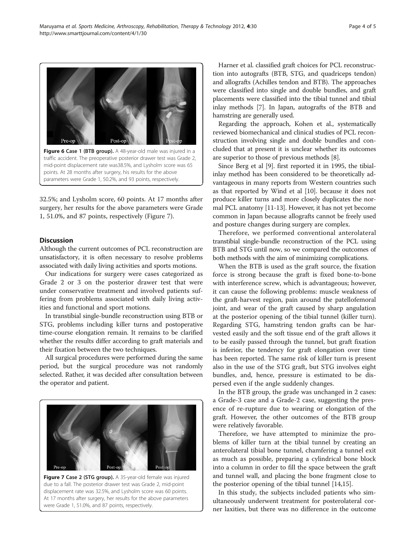<span id="page-3-0"></span>

Figure 6 Case 1 (BTB group). A 48-year-old male was injured in a traffic accident. The preoperative posterior drawer test was Grade 2, mid-point displacement rate was38.5%, and Lysholm score was 65 points. At 28 months after surgery, his results for the above parameters were Grade 1, 50.2%, and 93 points, respectively.

32.5%; and Lysholm score, 60 points. At 17 months after surgery, her results for the above parameters were Grade 1, 51.0%, and 87 points, respectively (Figure 7).

# **Discussion**

Although the current outcomes of PCL reconstruction are unsatisfactory, it is often necessary to resolve problems associated with daily living activities and sports motions.

Our indications for surgery were cases categorized as Grade 2 or 3 on the posterior drawer test that were under conservative treatment and involved patients suffering from problems associated with daily living activities and functional and sport motions.

In transtibial single-bundle reconstruction using BTB or STG, problems including killer turns and postoperative time-course elongation remain. It remains to be clarified whether the results differ according to graft materials and their fixation between the two techniques.

All surgical procedures were performed during the same period, but the surgical procedure was not randomly selected. Rather, it was decided after consultation between the operator and patient.



Figure 7 Case 2 (STG group). A 35-year-old female was injured due to a fall. The posterior drawer test was Grade 2, mid-point displacement rate was 32.5%, and Lysholm score was 60 points. At 17 months after surgery, her results for the above parameters were Grade 1, 51.0%, and 87 points, respectively.

Harner et al. classified graft choices for PCL reconstruction into autografts (BTB, STG, and quadriceps tendon) and allografts (Achilles tendon and BTB). The approaches were classified into single and double bundles, and graft placements were classified into the tibial tunnel and tibial inlay methods [\[7](#page-4-0)]. In Japan, autografts of the BTB and hamstring are generally used.

Regarding the approach, Kohen et al., systematically reviewed biomechanical and clinical studies of PCL reconstruction involving single and double bundles and concluded that at present it is unclear whether its outcomes are superior to those of previous methods [\[8](#page-4-0)].

Since Berg et al [[9](#page-4-0)]. first reported it in 1995, the tibialinlay method has been considered to be theoretically advantageous in many reports from Western countries such as that reported by Wind et al [[10](#page-4-0)]. because it does not produce killer turns and more closely duplicates the normal PCL anatomy [[11](#page-4-0)-[13](#page-4-0)]. However, it has not yet become common in Japan because allografts cannot be freely used and posture changes during surgery are complex.

Therefore, we performed conventional anterolateral transtibial single-bundle reconstruction of the PCL using BTB and STG until now, so we compared the outcomes of both methods with the aim of minimizing complications.

When the BTB is used as the graft source, the fixation force is strong because the graft is fixed bone-to-bone with interference screw, which is advantageous; however, it can cause the following problems: muscle weakness of the graft-harvest region, pain around the patellofemoral joint, and wear of the graft caused by sharp angulation at the posterior opening of the tibial tunnel (killer turn). Regarding STG, hamstring tendon grafts can be harvested easily and the soft tissue end of the graft allows it to be easily passed through the tunnel, but graft fixation is inferior, the tendency for graft elongation over time has been reported. The same risk of killer turn is present also in the use of the STG graft, but STG involves eight bundles, and, hence, pressure is estimated to be dispersed even if the angle suddenly changes.

In the BTB group, the grade was unchanged in 2 cases: a Grade-3 case and a Grade-2 case, suggesting the presence of re-rupture due to wearing or elongation of the graft. However, the other outcomes of the BTB group were relatively favorable.

Therefore, we have attempted to minimize the problems of killer turn at the tibial tunnel by creating an anterolateral tibial bone tunnel, chamfering a tunnel exit as much as possible, preparing a cylindrical bone block into a column in order to fill the space between the graft and tunnel wall, and placing the bone fragment close to the posterior opening of the tibial tunnel [\[14,15](#page-4-0)].

In this study, the subjects included patients who simultaneously underwent treatment for posterolateral corner laxities, but there was no difference in the outcome